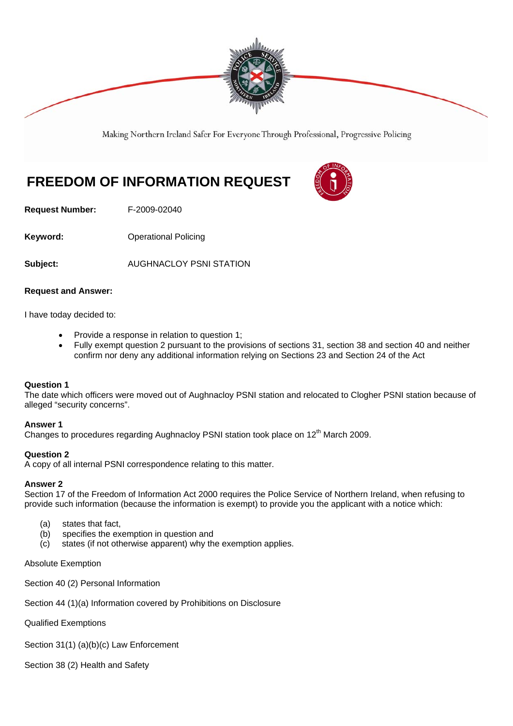

Making Northern Ireland Safer For Everyone Through Professional, Progressive Policing

# **FREEDOM OF INFORMATION REQUEST**

**Request Number:** F-2009-02040

**Keyword: Conservery Operational Policing** 

**Subject:** AUGHNACLOY PSNI STATION

# **Request and Answer:**

I have today decided to:

- Provide a response in relation to question 1;
- Fully exempt question 2 pursuant to the provisions of sections 31, section 38 and section 40 and neither confirm nor deny any additional information relying on Sections 23 and Section 24 of the Act

# **Question 1**

The date which officers were moved out of Aughnacloy PSNI station and relocated to Clogher PSNI station because of alleged "security concerns".

## **Answer 1**

Changes to procedures regarding Aughnacloy PSNI station took place on  $12<sup>th</sup>$  March 2009.

# **Question 2**

A copy of all internal PSNI correspondence relating to this matter.

# **Answer 2**

Section 17 of the Freedom of Information Act 2000 requires the Police Service of Northern Ireland, when refusing to provide such information (because the information is exempt) to provide you the applicant with a notice which:

- (a) states that fact,
- (b) specifies the exemption in question and
- (c) states (if not otherwise apparent) why the exemption applies.

## Absolute Exemption

Section 40 (2) Personal Information

Section 44 (1)(a) Information covered by Prohibitions on Disclosure

Qualified Exemptions

Section 31(1) (a)(b)(c) Law Enforcement

Section 38 (2) Health and Safety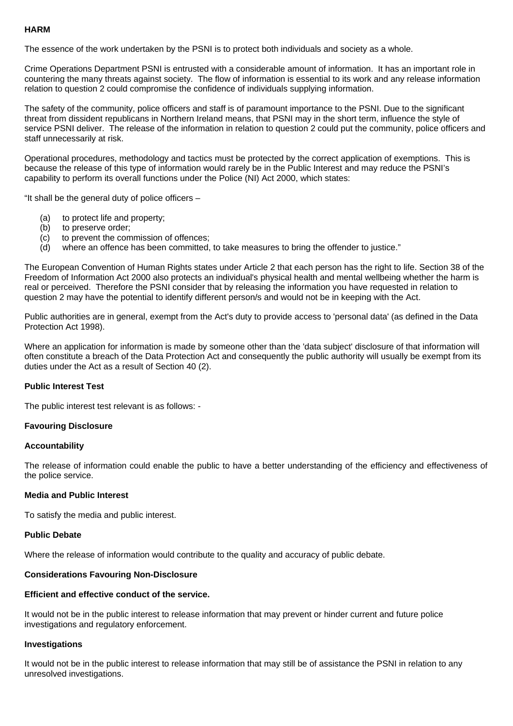# **HARM**

The essence of the work undertaken by the PSNI is to protect both individuals and society as a whole.

Crime Operations Department PSNI is entrusted with a considerable amount of information. It has an important role in countering the many threats against society. The flow of information is essential to its work and any release information relation to question 2 could compromise the confidence of individuals supplying information.

The safety of the community, police officers and staff is of paramount importance to the PSNI. Due to the significant threat from dissident republicans in Northern Ireland means, that PSNI may in the short term, influence the style of service PSNI deliver. The release of the information in relation to question 2 could put the community, police officers and staff unnecessarily at risk.

Operational procedures, methodology and tactics must be protected by the correct application of exemptions. This is because the release of this type of information would rarely be in the Public Interest and may reduce the PSNI's capability to perform its overall functions under the Police (NI) Act 2000, which states:

"It shall be the general duty of police officers –

- (a) to protect life and property;
- (b) to preserve order;
- (c) to prevent the commission of offences;
- (d) where an offence has been committed, to take measures to bring the offender to justice."

The European Convention of Human Rights states under Article 2 that each person has the right to life. Section 38 of the Freedom of Information Act 2000 also protects an individual's physical health and mental wellbeing whether the harm is real or perceived. Therefore the PSNI consider that by releasing the information you have requested in relation to question 2 may have the potential to identify different person/s and would not be in keeping with the Act.

Public authorities are in general, exempt from the Act's duty to provide access to 'personal data' (as defined in the Data Protection Act 1998).

Where an application for information is made by someone other than the 'data subject' disclosure of that information will often constitute a breach of the Data Protection Act and consequently the public authority will usually be exempt from its duties under the Act as a result of Section 40 (2).

# **Public Interest Test**

The public interest test relevant is as follows: -

## **Favouring Disclosure**

## **Accountability**

The release of information could enable the public to have a better understanding of the efficiency and effectiveness of the police service.

## **Media and Public Interest**

To satisfy the media and public interest.

## **Public Debate**

Where the release of information would contribute to the quality and accuracy of public debate.

# **Considerations Favouring Non-Disclosure**

## **Efficient and effective conduct of the service.**

It would not be in the public interest to release information that may prevent or hinder current and future police investigations and regulatory enforcement.

## **Investigations**

It would not be in the public interest to release information that may still be of assistance the PSNI in relation to any unresolved investigations.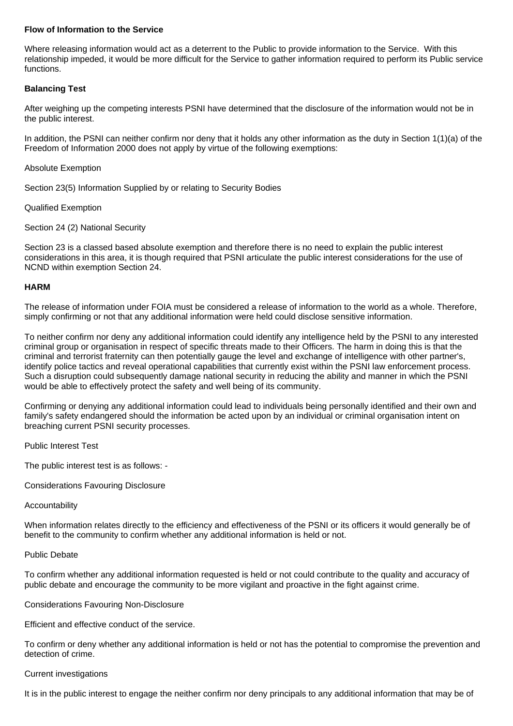# **Flow of Information to the Service**

Where releasing information would act as a deterrent to the Public to provide information to the Service. With this relationship impeded, it would be more difficult for the Service to gather information required to perform its Public service functions.

# **Balancing Test**

After weighing up the competing interests PSNI have determined that the disclosure of the information would not be in the public interest.

In addition, the PSNI can neither confirm nor deny that it holds any other information as the duty in Section 1(1)(a) of the Freedom of Information 2000 does not apply by virtue of the following exemptions:

## Absolute Exemption

Section 23(5) Information Supplied by or relating to Security Bodies

# Qualified Exemption

# Section 24 (2) National Security

Section 23 is a classed based absolute exemption and therefore there is no need to explain the public interest considerations in this area, it is though required that PSNI articulate the public interest considerations for the use of NCND within exemption Section 24.

# **HARM**

The release of information under FOIA must be considered a release of information to the world as a whole. Therefore, simply confirming or not that any additional information were held could disclose sensitive information.

To neither confirm nor deny any additional information could identify any intelligence held by the PSNI to any interested criminal group or organisation in respect of specific threats made to their Officers. The harm in doing this is that the criminal and terrorist fraternity can then potentially gauge the level and exchange of intelligence with other partner's, identify police tactics and reveal operational capabilities that currently exist within the PSNI law enforcement process. Such a disruption could subsequently damage national security in reducing the ability and manner in which the PSNI would be able to effectively protect the safety and well being of its community.

Confirming or denying any additional information could lead to individuals being personally identified and their own and family's safety endangered should the information be acted upon by an individual or criminal organisation intent on breaching current PSNI security processes.

Public Interest Test

The public interest test is as follows: -

Considerations Favouring Disclosure

## Accountability

When information relates directly to the efficiency and effectiveness of the PSNI or its officers it would generally be of benefit to the community to confirm whether any additional information is held or not.

## Public Debate

To confirm whether any additional information requested is held or not could contribute to the quality and accuracy of public debate and encourage the community to be more vigilant and proactive in the fight against crime.

Considerations Favouring Non-Disclosure

Efficient and effective conduct of the service.

To confirm or deny whether any additional information is held or not has the potential to compromise the prevention and detection of crime.

## Current investigations

It is in the public interest to engage the neither confirm nor deny principals to any additional information that may be of